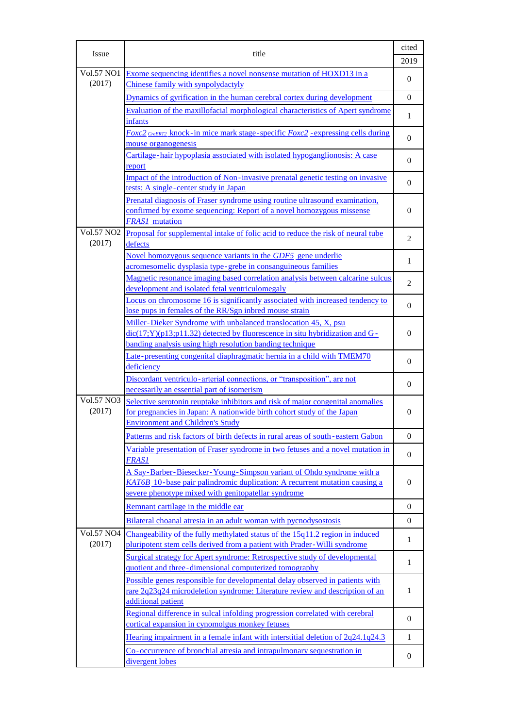| <b>Issue</b>                     | title                                                                                                                                                                                                        | cited<br>2019  |
|----------------------------------|--------------------------------------------------------------------------------------------------------------------------------------------------------------------------------------------------------------|----------------|
| <b>Vol.57 NO1</b><br>(2017)      | Exome sequencing identifies a novel nonsense mutation of HOXD13 in a<br>Chinese family with synpolydactyly                                                                                                   | $\overline{0}$ |
|                                  | Dynamics of gyrification in the human cerebral cortex during development                                                                                                                                     | $\overline{0}$ |
|                                  | Evaluation of the maxillofacial morphological characteristics of Apert syndrome                                                                                                                              |                |
|                                  | <i>infants</i>                                                                                                                                                                                               | 1              |
|                                  | Foxc2 CreERT2 knock-in mice mark stage-specific Foxc2 -expressing cells during                                                                                                                               | $\overline{0}$ |
|                                  | mouse organogenesis                                                                                                                                                                                          |                |
|                                  | Cartilage-hair hypoplasia associated with isolated hypoganglionosis: A case<br>report                                                                                                                        | $\overline{0}$ |
|                                  | Impact of the introduction of Non-invasive prenatal genetic testing on invasive<br>tests: A single-center study in Japan                                                                                     | $\overline{0}$ |
|                                  | Prenatal diagnosis of Fraser syndrome using routine ultrasound examination.<br>confirmed by exome sequencing: Report of a novel homozygous missense<br><b>FRAS1</b> mutation                                 | $\overline{0}$ |
| Vol.57 NO <sub>2</sub><br>(2017) | Proposal for supplemental intake of folic acid to reduce the risk of neural tube<br>defects                                                                                                                  | 2              |
|                                  | Novel homozygous sequence variants in the GDF5 gene underlie<br>acromesomelic dysplasia type-grebe in consanguineous families                                                                                | 1              |
|                                  | Magnetic resonance imaging based correlation analysis between calcarine sulcus<br>development and isolated fetal ventriculomegaly                                                                            | $\overline{c}$ |
|                                  | Locus on chromosome 16 is significantly associated with increased tendency to<br>lose pups in females of the RR/Sgn inbred mouse strain                                                                      | $\theta$       |
|                                  | Miller-Dieker Syndrome with unbalanced translocation 45, X, psu<br>$dic(17;Y)(p13;p11.32)$ detected by fluorescence in situ hybridization and G-<br>banding analysis using high resolution banding technique | $\theta$       |
|                                  | Late-presenting congenital diaphragmatic hernia in a child with TMEM70<br>deficiency                                                                                                                         | $\overline{0}$ |
|                                  | Discordant ventriculo-arterial connections, or "transposition", are not<br>necessarily an essential part of isomerism                                                                                        | $\overline{0}$ |
| <b>Vol.57 NO3</b><br>(2017)      | Selective serotonin reuptake inhibitors and risk of major congenital anomalies<br>for pregnancies in Japan: A nationwide birth cohort study of the Japan<br><b>Environment and Children's Study</b>          | $\overline{0}$ |
|                                  | Patterns and risk factors of birth defects in rural areas of south-eastern Gabon                                                                                                                             | $\theta$       |
|                                  | Variable presentation of Fraser syndrome in two fetuses and a novel mutation in<br><b>FRAS1</b>                                                                                                              | $\overline{0}$ |
|                                  | A Say-Barber-Biesecker-Young-Simpson variant of Ohdo syndrome with a<br>KAT6B 10-base pair palindromic duplication: A recurrent mutation causing a<br>severe phenotype mixed with genitopatellar syndrome    | $\overline{0}$ |
|                                  | Remnant cartilage in the middle ear                                                                                                                                                                          | $\overline{0}$ |
|                                  | Bilateral choanal atresia in an adult woman with pycnodysostosis                                                                                                                                             | $\theta$       |
| Vol.57 NO4<br>(2017)             | Changeability of the fully methylated status of the 15q11.2 region in induced                                                                                                                                | 1              |
|                                  | pluripotent stem cells derived from a patient with Prader-Willi syndrome<br>Surgical strategy for Apert syndrome: Retrospective study of developmental                                                       | $\mathbf{1}$   |
|                                  | quotient and three-dimensional computerized tomography                                                                                                                                                       |                |
|                                  | Possible genes responsible for developmental delay observed in patients with<br>rare 2q23q24 microdeletion syndrome: Literature review and description of an<br>additional patient                           | $\mathbf{1}$   |
|                                  | Regional difference in sulcal infolding progression correlated with cerebral<br>cortical expansion in cynomolgus monkey fetuses                                                                              | $\overline{0}$ |
|                                  | Hearing impairment in a female infant with interstitial deletion of 2q24.1q24.3                                                                                                                              | 1              |
|                                  | Co-occurrence of bronchial atresia and intrapulmonary sequestration in<br>divergent lobes                                                                                                                    | $\overline{0}$ |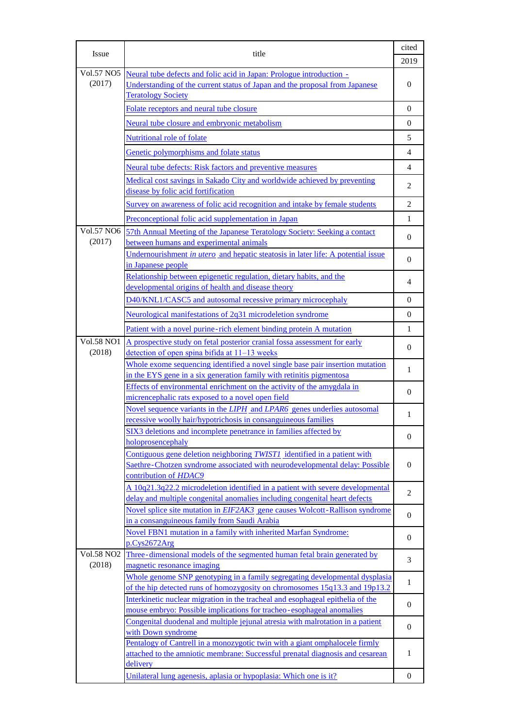| Issue                       | title                                                                                                                                                                            | cited<br>2019  |
|-----------------------------|----------------------------------------------------------------------------------------------------------------------------------------------------------------------------------|----------------|
| <b>Vol.57 NO5</b><br>(2017) | Neural tube defects and folic acid in Japan: Prologue introduction -<br>Understanding of the current status of Japan and the proposal from Japanese<br><b>Teratology Society</b> | $\theta$       |
|                             | Folate receptors and neural tube closure                                                                                                                                         | $\Omega$       |
|                             | Neural tube closure and embryonic metabolism                                                                                                                                     | $\Omega$       |
|                             | Nutritional role of folate                                                                                                                                                       | 5              |
|                             | Genetic polymorphisms and folate status                                                                                                                                          | $\overline{4}$ |
|                             | Neural tube defects: Risk factors and preventive measures                                                                                                                        | $\overline{4}$ |
|                             | Medical cost savings in Sakado City and worldwide achieved by preventing                                                                                                         |                |
|                             | disease by folic acid fortification                                                                                                                                              | $\overline{c}$ |
|                             | Survey on awareness of folic acid recognition and intake by female students                                                                                                      | $\overline{c}$ |
|                             | Preconceptional folic acid supplementation in Japan                                                                                                                              | $\mathbf{1}$   |
| Vol.57 NO6                  | 57th Annual Meeting of the Japanese Teratology Society: Seeking a contact                                                                                                        |                |
| (2017)                      | between humans and experimental animals                                                                                                                                          | $\overline{0}$ |
|                             | Undernourishment in <i>utero</i> and hepatic steatosis in later life: A potential issue                                                                                          | $\overline{0}$ |
|                             | in Japanese people<br>Relationship between epigenetic regulation, dietary habits, and the                                                                                        |                |
|                             | developmental origins of health and disease theory                                                                                                                               | 4              |
|                             | D40/KNL1/CASC5 and autosomal recessive primary microcephaly                                                                                                                      | $\Omega$       |
|                             | Neurological manifestations of 2q31 microdeletion syndrome                                                                                                                       | $\Omega$       |
|                             | Patient with a novel purine-rich element binding protein A mutation                                                                                                              | $\mathbf{1}$   |
| <b>Vol.58 NO1</b>           | A prospective study on fetal posterior cranial fossa assessment for early                                                                                                        |                |
| (2018)                      | detection of open spina bifida at 11–13 weeks                                                                                                                                    | $\overline{0}$ |
|                             | Whole exome sequencing identified a novel single base pair insertion mutation                                                                                                    | 1              |
|                             | in the EYS gene in a six generation family with retinitis pigmentosal                                                                                                            |                |
|                             | Effects of environmental enrichment on the activity of the amygdala in<br>micrencephalic rats exposed to a novel open field                                                      | $\Omega$       |
|                             | Novel sequence variants in the LIPH and LPAR6 genes underlies autosomal                                                                                                          |                |
|                             | recessive woolly hair/hypotrichosis in consanguineous families                                                                                                                   | 1              |
|                             | SIX3 deletions and incomplete penetrance in families affected by                                                                                                                 | $\theta$       |
|                             | holoprosencephaly                                                                                                                                                                |                |
|                             | Contiguous gene deletion neighboring TWIST1 identified in a patient with<br>Saethre-Chotzen syndrome associated with neurodevelopmental delay: Possible                          | $\theta$       |
|                             | contribution of HDAC9                                                                                                                                                            |                |
|                             | A 10q21.3q22.2 microdeletion identified in a patient with severe developmental                                                                                                   |                |
|                             | delay and multiple congenital anomalies including congenital heart defects                                                                                                       | $\overline{2}$ |
|                             | Novel splice site mutation in EIF2AK3 gene causes Wolcott-Rallison syndrome                                                                                                      | $\theta$       |
|                             | in a consanguineous family from Saudi Arabia<br>Novel FBN1 mutation in a family with inherited Marfan Syndrome:                                                                  |                |
|                             | p.Cys2672Arg                                                                                                                                                                     | $\overline{0}$ |
| <b>Vol.58 NO2</b>           | Three-dimensional models of the segmented human fetal brain generated by                                                                                                         | 3              |
| (2018)                      | magnetic resonance imaging                                                                                                                                                       |                |
|                             | Whole genome SNP genotyping in a family segregating developmental dysplasia                                                                                                      | $\mathbf{1}$   |
|                             | of the hip detected runs of homozygosity on chromosomes 15q13.3 and 19p13.2<br>Interkinetic nuclear migration in the tracheal and esophageal epithelia of the                    |                |
|                             | mouse embryo: Possible implications for tracheo-esophageal anomalies                                                                                                             | $\overline{0}$ |
|                             | Congenital duodenal and multiple jejunal atresia with malrotation in a patient                                                                                                   | $\overline{0}$ |
|                             | with Down syndrome                                                                                                                                                               |                |
|                             | Pentalogy of Cantrell in a monozygotic twin with a giant omphalocele firmly<br>attached to the amniotic membrane: Successful prenatal diagnosis and cesarean                     | 1              |
|                             | delivery                                                                                                                                                                         |                |
|                             | Unilateral lung agenesis, aplasia or hypoplasia: Which one is it?                                                                                                                | $\theta$       |